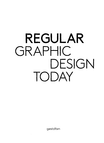# **REGULAR** GRAPHIC DESIGN TODAY

gestalten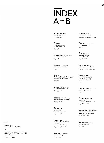# **INDEX A-B**

A2 C'EST MIEUX (France) www.a2cestmieux.fr Pages 218, 260

ABIABIABI Abi Huynh (Canoda) www.abiabiabi.cam Page 270

SABINA ALBANESE (Switzerland) www.albanese-grafik.ch Page 244

SÉRGIO ALVES (Portugal) **www.sergio-alves.com** Page 41

ASYLUM Chris Lee & Edwin Tan (Singapare) www.theasylum.com.sg/v3/ Page 224

DANIELLE AUBERT (USA) www.danielleaubert.com Pages 176-177

DENNY BACKHAUS (Germany) www.zuckerundpfeffer.com Pages 14, 54, 56, 96

PHIL BAINES (United Kingdom) www.penguin.co,uk Pages 128 - 129

LUDOVIC BALLAND TYPOGRAPHY CABINET (Switzerland) www.ludovic-balland.ch Poges 10-11, 17, 34-37

MARC BALLY (Switzerland) www.marcbally.ch Pages 12, 277

BASE DESIGN (Belgium) www.basedesign.com Pages 114, 120-121, 134-135, 254

GIAN BESSET (Switzerland) www.gianbesset.ch Poge 12

**BILLY BEN** (Swrtzerland) Benjamin Rohrer www.billyben.ch Pages 96, 112, 242

**JULIAN BITTINER (USA)** www.appliedaesthetics.org

Pages 38, 47, 146 -147,216 - 217

BON BON BÜRO Janine Stratmann & Philipp Graf (Germany) www.bonbonbuero.de Page 94

ANDY BRIDGE (United Kingdom) www.andybridge.com Page 132

SIMONA BRÜHLMEIER (Switzerlond) www.simonabruehlmeier.ch Pages 160-161, 232

BUREAU MARIO LOMBARDO Mario Lombardo (Germany) www.mariolombardo.com

Pages 156-159, 251

**BURO RENG** (Netherlands) www.buroreng.nl

Page 253

[left poge]

DIEGO FELLAY & JONAS MARGUET / ECAL

Play4

Poster design made using the possibilities offered by one of the biggest 12-rolls offset printer in Europe.

Client Jeon Genoud SA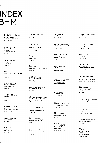### **INDEX B-M**

FELIX BURRICHTER & DYLAN FRACARETA (USA) PIN-UP Magazine www.pinupmagazine.arg

Pages 174-175

BURRI- PREIS (Switzerland) Susanne Burri & Stefanie Preis www.burri-preis.ch

Page 90

NATHAN BURTON www.penguin.co.uk (United Kingdom)

Page 132

C2F (Switzerland) Cybu Richli & Fabienne Burri www.c2f.to

Pages 18-19, 93

TOMAS CELlZNA & DANIEL HARDING (Czech Republic) www.tomasc.net

Pages 53, 127

GUILLAUME CHUARD (Switzerland) www.guillaumechuard.com Pages 2, 267

MATHIAS J. CLOTTU (Switzerlond) www.mathiasclottu.com Pages 5, 144, 182, 264-265

CLUSTA (United Kingdom) www.c1usta.com Page 109

COBOl (Switzerland) Katharina Reidy www.coboi.ch

Pages 13, 74

COMPANY (United Kingdam) www.company-Iondon.com Page 238

**CONTAINERPLUS** (United Kingdom) www.containerplus.co.uk

Pages 210, 264

COUP (Netherlands) www.coup.nl Pages 119, 239

WAYNE DALY (United Kingdom) www.forfurtherinformation.org Page 126

LESLIE DAVID (France) www.leslie-david.com Pages 196, 240

**BART DE BAETS** (Netherlands) www.bartdebaets.nl Pages 26-29

CÖME DE BOUCHONY (France) www.comedebouchony.com Pages 60, 225-226, 268

DERRIERELACOLLINE Marie Lusa (Switzerland) www.derrierelacolline.net Pages 176-177

JOSHUA DISTLER (USA) www.joshuadistler.com Page 120

CATHERINE DIXON (United Kingdom) www.catherinedixonstudio.com Page 128

**BRICE DOMINGUES** (France) www.bricedomingues.com Pages 30-33

MATTIS DOVIER (France) http://mattisdovier.free.fr Pages 212 - 2ß

PAULUS M. DREIBHOLZ (United Kingdom) www.dreibholz.com Page 118

DYNAMO (Switzerland) Thibaud Tissot & Yassin Baggar www.dynamo.1i Page 279

ELECTRONEST (United Kingdam) Jeröme Rigaud & Pierre Schmidt www.electronest.com

Page 252

EMPK (Venezuela) Diego Bellorin www.empk.net

Pages 110-111

XAVIER ENCINAS (Canada) **www.xavierencinas.com** Pages 38-39

CALLE ENSTRÖM (Sweden) www.calleenstrom.se Page 201

FAGETA (Switzerland) Philippe Egger & Adeline Mollard www.fageta.ch

Pages 55, 65, 74, 113

FEDERAL STUDIO (Switzerland) www.federal.li Pages 246 - 249

DIEGO FELLAY (Switzerland) www.diegofellay.ch Pages 96, 241, 282

FRÄCK (Finland) www.frck.fi Pages 228 - 229

FREDERIC TESCHNER STUDIO (France) www.fredericteschner.com

Pages 116 - 117

MADS FREUND BRUNSE (Den mark) www.madsfreundbrunse.com Pages 80-81, 144-145, 176, 182, 266

FROMKEETRA (USA) Keetra Dean Dixon www.fromkeetra.com

Page 223

CLEMENT GALLET (Switzerland) www.c1ementgallet.com Page 1ß

GDLOFT (USA) www.gdloft.com Pages 170 - 171, 259, 280

LORENZO GEIGER (Switzerland) www.lorenzogeiger.ch Page 244

GLASHAUS (Switzerland) Gregor Huber & Ivan Sterzinger www.glashaus.ch

Pages 61, 168 -169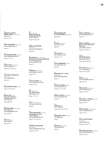**HANNES GLOOR & STEFAN JANDL** (Switzerland) **www.g-j.ch**

Pages 161, 232

**HANS GREMMEN** (Netherlonds) **www.hansgremmen.nl**

Page 272

**KATJA GRETZINGER** (Germony) **www.katjagretzinger.cam**

Pages 47, 65, 78

**ANNA HAAS** (Switzerland) **www.annahaas.ch**

Pages 96, 193, 243, 244

### **HAPPYPETS PRODUCTS (Switzerland)**

**www.happypets.ch** Page 222

### **KAZUNARI HATTORI** (Japan)

Pages 76-79, 84-85

**HELMO.FR** (Fronce) **Thomos Couderc & Clement Vouchez www.helma.fr**

Pages 258 - 259

**KATHRIN HERO** (Netherlonds) **Girls Like Us www.glumagazine.cam**

Pages 190 - 191

**HEY HO** (Fronce) **www.heyho.fr**

Pages 59, 147

HI (Switzerlond) **Megi Zumstein & Cloudio Borondun www.hi-web.ch**

Pages 151, 243, 268

**MARIUS HOFSTEDE (Netherlands) www.moriushofstede.nl**

Page 206

**HOUSEHOLD** (United Kingdom) **George Wu ond Soroh Gottlieb www.sarohgottlieb.dk www.house-hold.org**

Page 50

**HUBERTUS** (Switzerlond) **www.hubertus-c1ub.ch**

Pages 51, 124

**HUGO & MARIE** (USA) **www.hugoandmarie.com** Pages 226 - 227

**IMJ** (South Koreo) **Joe-Hyouk Sung www.iomjae.com** Pages 71, 112-113

**JULIA** (United Kingdom) **www.abaut-julia.com**

Page 40

**JUNGUNDWENIG** (Germany) **Christopher Jung & Tobios Wenig www.jungundwenig.com**

Pages 57, 67, 148 -149

**SANDRA KASSENAAR (Netherlonds) www.sandrakassenaar.com** Pages 40, 90, 135

**DAVID KESHAVJEE & JULIEN TAVELLI** (Switzedand) Pages 20-21

**NA KI M** (South Korea) **www.ynkim.com** Page 279

**ZAK KLAUCK** (USA) **www.zakklauck.com**

Pages 14-15, 71

**FILIP KLEREMARK** (Sweden) **www.kleremark.com** Page 281

**KOEHORST IN 'T VELD (Netherlonds) www.koehorstintveld.nl**

Page 52

**KONST & TEKNIK** (Sweden) **www.konst-teknik.se** Pages 41, 152-153, 196

**MARCUS KRAFT** (Swltzerlond) **www.marcuskraft.net** Page 104

**L2M3** (Germony) **www.L2M3.com**

Pages 58, 66, 135, 172, 267

**ZIGMUNDS LAPSA** (Latvia) **www.82kg.net** Page 71

**ESAM LEE** (South Korea) **http://esam23.kr**

Page 81

**SACHA LEOPOLD** (Fronce) **www.sachaleopold.com** Page 233

**LESLEY MOORE** (Netherlands) **Korin vonden Brondt & Alex Cloy www.lesley-moore.nl**

Pages 72-73, 80-81

**LETRA** (Netherlonds) **Morco Bolesteros www.letro.com.pt**

Pages 98-99, 150, 207

**KAI-TING L1N** (Netherlonds) **www.linkaiting.net**

Pages 160-161, 203

**MASH** (Austrolio) **www.mashdesign.com.au** Pages 100, 104

**METAHAVEN** (Netherlonds) **www.metahaven.net** Pages 24-25, 267

**MILCHHOF: ATELIER** (Germony) **www.milchhof.net**

Pages 274-275

**MIND DESIGN** (United Kingdom) **www.minddesign.co.uk**

Pages 75, 105

**GUILLAUME MOJON (Switzerland) http://sortby.org** Page, 52 - 53, 56-57

**MAUREEN MOOREN** (Netherlands) **www.moureenmooren.nl**

Pages 16, 22-23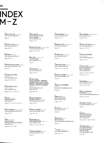## **INDEX M-Z**

MARCO MÜLLER (Switzerland) **www.marco-mueller.com**

Page 46

MUSEUM STUDIO (Sweden) **www.museumstudio.se** Pages 100, 227

NEPOMUK (Germany) www.nepomukworld.com Pages 262-263

MARTIN NICOLAUSSON (Sweden) **www.martinnicolausson.com** Page 233

NIESSEN & DE VRIES (Netherlands) **www.niessendevries.nl** Pages 82-83, 200, 212

NODE BERLIN OSLO (Germany / Norway) www.nodeberlin.com

Pages 46,166- 167, 196, 224

ONLAB (Switzerland) Nicolas Bourquin www.onlab.ch Pages 140-141, 188, 192-195, 198

DAVID PEARSON (United Kingdom) www.davidpearsondesign.com

Pages 136 -137

PIROL (Switzerland) Simone Farner, Ruth Amstutz,Lea Schmidt www.pirol.org

Pages 95, 122 - 123, 189

PIXELGARTEN (Germany) Catrin Altenbrandt & Adrian Nießler www.pixelgarten.de

Pages 151,173

DAMIEN POULAIN (United Kingdom) www.damienpoulain.com Pages 214-215, 239

PRACTISE (United Kingdom) James Goggin www.practise.co.uk

Page 154

JOHAN PRAG (Japan) www.johanprag.com Pages 256 - 257

PETTER PRINZ, KALLE HAGMAN, ANDREAS LEWANDOWSKI, JOHN FALK RODEN, L1NN MORK, SAMUEL NILSSON, MARTIN WAGNER (Sweden) www.kallehagman.com

**www.prinz.se**

Pages 208-209

PROJEKTTRIANGLE DESIGN STUDIO (Germany) www.projekttriangle.com Pages 138- 139

MANUEL RAEDER (Germony) www.manuelraeder.co.uk Pages 204-205

RAFFINERIE AG FÜR GESTALTUNG (Switzerland) **www.raffinerie.com** Pages 62-63, 164-165, 191

KONRAD RENNER (Germany) **www.konradrenner.com** Page 199

JANINE REWELL (Finland) **www.janinerewell.com** Pages 106-107

EMMANUEL REY (Switzerland) www.emmanuelrey.ch Page 113

TATIANA RIHS (Switzerland) **www.tatianarihs.com** Page 267

TOBIAS RÖTTGER (Germany) www.tobiasroettger.de Pages 43, 70-71, 234-235

ALBAN SCHELBERT (Switzerland) www.albanschelbert.com Page 276

JEREMY SCHORDERET (Switzerlond) jeremy.schorderet@gmail.com Page 183

SERIAL CUT (Spain) Sergio dei Puerto **www.serialcut.com**

Pages 75. 211

SIPOVICH (Czech Republic) **www.sipovich.com** Page 235

OMAR SOSA (Spain) Apartamento **www.apartamentomagazine.com** Page 196

..., STAAT (Netherlands) www.staatamsterdam.nl

Pages 144-145

JIM STODDART (United Kingdom) www.penguin.co.uk Pages 132 - 133

VELINA STOYKOVA (Bulgaria) www.velinastoykova.nl Pages 40, 150, 273

STUDIO NEWWORK (United Kingdom) **www.newworkmag.cern** Pages 184-185

STUDIO SPORT (Switzerland) Ronnie Fueglister & Martin Stoecklin www.studiosport.in

Pages 54, 67, 162-163, 245, 250, 255, 270, 271

SUPERBÜRO (Switzerland) **www.superbuero.com**

Pages 64, 250, 278

RASMUS EMANUEL SVENSSON (Sweden) **www.rasmusemanuelsvensson.com**

Pages 98-99, 101

FLORENCE TÉTIER (Switzerland) www.ftorencejohann.com

Page 97

Page 108

THEMES (Switzerland) Thomas Koening & Mathias Forbach www.themes.ch

Pages 230-231, 236-237, 266

THEYGRAPHICS (Sweden) Jiri Adamik-Novak, Fredrik Forsberg & Zdenek Patak. www.theygraphics.com